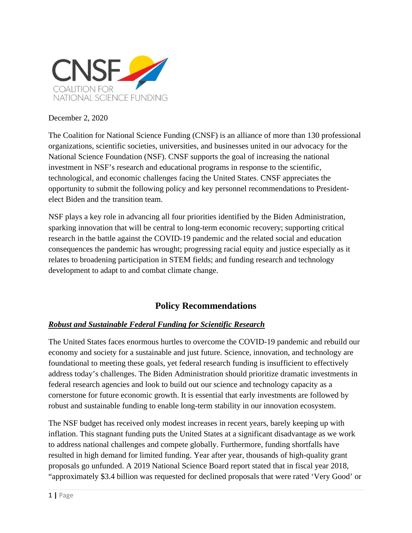

#### December 2, 2020

The Coalition for National Science Funding (CNSF) is an alliance of more than 130 professional organizations, scientific societies, universities, and businesses united in our advocacy for the National Science Foundation (NSF). CNSF supports the goal of increasing the national investment in NSF's research and educational programs in response to the scientific, technological, and economic challenges facing the United States. CNSF appreciates the opportunity to submit the following policy and key personnel recommendations to Presidentelect Biden and the transition team.

NSF plays a key role in advancing all four priorities identified by the Biden Administration, sparking innovation that will be central to long-term economic recovery; supporting critical research in the battle against the COVID-19 pandemic and the related social and education consequences the pandemic has wrought; progressing racial equity and justice especially as it relates to broadening participation in STEM fields; and funding research and technology development to adapt to and combat climate change.

# **Policy Recommendations**

## *Robust and Sustainable Federal Funding for Scientific Research*

The United States faces enormous hurtles to overcome the COVID-19 pandemic and rebuild our economy and society for a sustainable and just future. Science, innovation, and technology are foundational to meeting these goals, yet federal research funding is insufficient to effectively address today's challenges. The Biden Administration should prioritize dramatic investments in federal research agencies and look to build out our science and technology capacity as a cornerstone for future economic growth. It is essential that early investments are followed by robust and sustainable funding to enable long-term stability in our innovation ecosystem.

The NSF budget has received only modest increases in recent years, barely keeping up with inflation. This stagnant funding puts the United States at a significant disadvantage as we work to address national challenges and compete globally. Furthermore, funding shortfalls have resulted in high demand for limited funding. Year after year, thousands of high-quality grant proposals go unfunded. A 2019 National Science Board report stated that in fiscal year 2018, "approximately \$3.4 billion was requested for declined proposals that were rated 'Very Good' or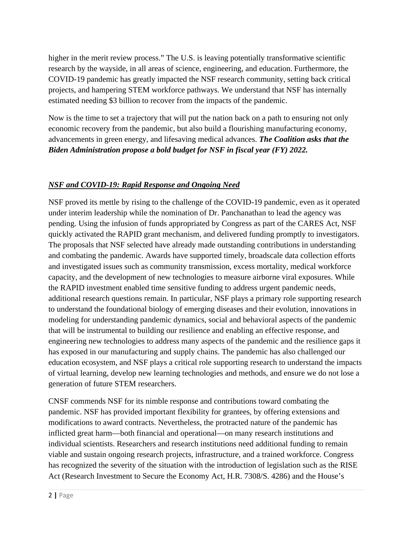higher in the merit review process." The U.S. is leaving potentially transformative scientific research by the wayside, in all areas of science, engineering, and education. Furthermore, the COVID-19 pandemic has greatly impacted the NSF research community, setting back critical projects, and hampering STEM workforce pathways. We understand that NSF has internally estimated needing \$3 billion to recover from the impacts of the pandemic.

Now is the time to set a trajectory that will put the nation back on a path to ensuring not only economic recovery from the pandemic, but also build a flourishing manufacturing economy, advancements in green energy, and lifesaving medical advances. *The Coalition asks that the Biden Administration propose a bold budget for NSF in fiscal year (FY) 2022.* 

## *NSF and COVID-19: Rapid Response and Ongoing Need*

NSF proved its mettle by rising to the challenge of the COVID-19 pandemic, even as it operated under interim leadership while the nomination of Dr. Panchanathan to lead the agency was pending. Using the infusion of funds appropriated by Congress as part of the CARES Act, NSF quickly activated the RAPID grant mechanism, and delivered funding promptly to investigators. The proposals that NSF selected have already made outstanding contributions in understanding and combating the pandemic. Awards have supported timely, broadscale data collection efforts and investigated issues such as community transmission, excess mortality, medical workforce capacity, and the development of new technologies to measure airborne viral exposures. While the RAPID investment enabled time sensitive funding to address urgent pandemic needs, additional research questions remain. In particular, NSF plays a primary role supporting research to understand the foundational biology of emerging diseases and their evolution, innovations in modeling for understanding pandemic dynamics, social and behavioral aspects of the pandemic that will be instrumental to building our resilience and enabling an effective response, and engineering new technologies to address many aspects of the pandemic and the resilience gaps it has exposed in our manufacturing and supply chains. The pandemic has also challenged our education ecosystem, and NSF plays a critical role supporting research to understand the impacts of virtual learning, develop new learning technologies and methods, and ensure we do not lose a generation of future STEM researchers.

CNSF commends NSF for its nimble response and contributions toward combating the pandemic. NSF has provided important flexibility for grantees, by offering extensions and modifications to award contracts. Nevertheless, the protracted nature of the pandemic has inflicted great harm—both financial and operational—on many research institutions and individual scientists. Researchers and research institutions need additional funding to remain viable and sustain ongoing research projects, infrastructure, and a trained workforce. Congress has recognized the severity of the situation with the introduction of legislation such as the RISE Act (Research Investment to Secure the Economy Act, H.R. 7308/S. 4286) and the House's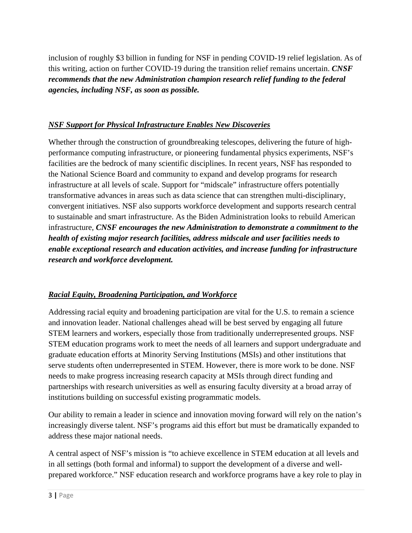inclusion of roughly \$3 billion in funding for NSF in pending COVID-19 relief legislation. As of this writing, action on further COVID-19 during the transition relief remains uncertain. *CNSF recommends that the new Administration champion research relief funding to the federal agencies, including NSF, as soon as possible.*

## *NSF Support for Physical Infrastructure Enables New Discoveries*

Whether through the construction of groundbreaking telescopes, delivering the future of highperformance computing infrastructure, or pioneering fundamental physics experiments, NSF's facilities are the bedrock of many scientific disciplines. In recent years, NSF has responded to the National Science Board and community to expand and develop programs for research infrastructure at all levels of scale. Support for "midscale" infrastructure offers potentially transformative advances in areas such as data science that can strengthen multi-disciplinary, convergent initiatives. NSF also supports workforce development and supports research central to sustainable and smart infrastructure. As the Biden Administration looks to rebuild American infrastructure, *CNSF encourages the new Administration to demonstrate a commitment to the health of existing major research facilities, address midscale and user facilities needs to enable exceptional research and education activities, and increase funding for infrastructure research and workforce development.* 

## *Racial Equity, Broadening Participation, and Workforce*

Addressing racial equity and broadening participation are vital for the U.S. to remain a science and innovation leader. National challenges ahead will be best served by engaging all future STEM learners and workers, especially those from traditionally underrepresented groups. NSF STEM education programs work to meet the needs of all learners and support undergraduate and graduate education efforts at Minority Serving Institutions (MSIs) and other institutions that serve students often underrepresented in STEM. However, there is more work to be done. NSF needs to make progress increasing research capacity at MSIs through direct funding and partnerships with research universities as well as ensuring faculty diversity at a broad array of institutions building on successful existing programmatic models.

Our ability to remain a leader in science and innovation moving forward will rely on the nation's increasingly diverse talent. NSF's programs aid this effort but must be dramatically expanded to address these major national needs.

A central aspect of NSF's mission is "to achieve excellence in STEM education at all levels and in all settings (both formal and informal) to support the development of a diverse and wellprepared workforce." NSF education research and workforce programs have a key role to play in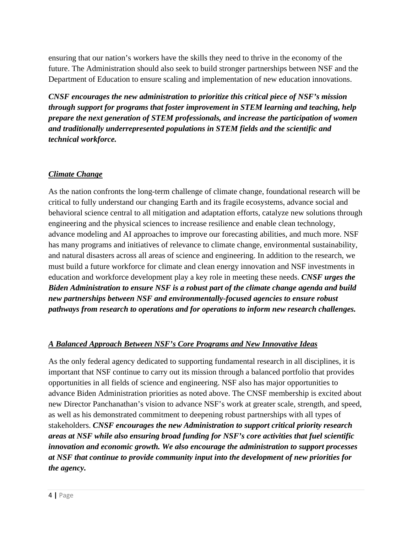ensuring that our nation's workers have the skills they need to thrive in the economy of the future. The Administration should also seek to build stronger partnerships between NSF and the Department of Education to ensure scaling and implementation of new education innovations.

*CNSF encourages the new administration to prioritize this critical piece of NSF's mission through support for programs that foster improvement in STEM learning and teaching, help prepare the next generation of STEM professionals, and increase the participation of women and traditionally underrepresented populations in STEM fields and the scientific and technical workforce.*

## *Climate Change*

As the nation confronts the long-term challenge of climate change, foundational research will be critical to fully understand our changing Earth and its fragile ecosystems, advance social and behavioral science central to all mitigation and adaptation efforts, catalyze new solutions through engineering and the physical sciences to increase resilience and enable clean technology, advance modeling and AI approaches to improve our forecasting abilities, and much more. NSF has many programs and initiatives of relevance to climate change, environmental sustainability, and natural disasters across all areas of science and engineering. In addition to the research, we must build a future workforce for climate and clean energy innovation and NSF investments in education and workforce development play a key role in meeting these needs. *CNSF urges the Biden Administration to ensure NSF is a robust part of the climate change agenda and build new partnerships between NSF and environmentally-focused agencies to ensure robust pathways from research to operations and for operations to inform new research challenges.*

#### *A Balanced Approach Between NSF's Core Programs and New Innovative Ideas*

As the only federal agency dedicated to supporting fundamental research in all disciplines, it is important that NSF continue to carry out its mission through a balanced portfolio that provides opportunities in all fields of science and engineering. NSF also has major opportunities to advance Biden Administration priorities as noted above. The CNSF membership is excited about new Director Panchanathan's vision to advance NSF's work at greater scale, strength, and speed, as well as his demonstrated commitment to deepening robust partnerships with all types of stakeholders. *CNSF encourages the new Administration to support critical priority research areas at NSF while also ensuring broad funding for NSF's core activities that fuel scientific innovation and economic growth. We also encourage the administration to support processes at NSF that continue to provide community input into the development of new priorities for the agency.*